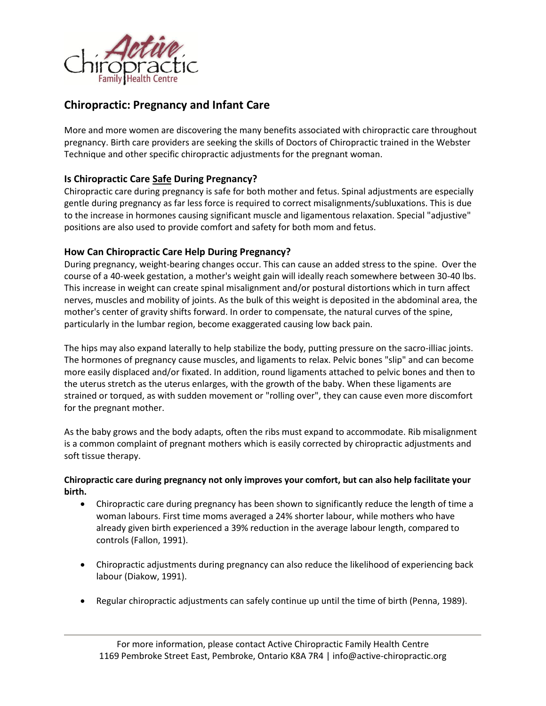

# **Chiropractic: Pregnancy and Infant Care**

More and more women are discovering the many benefits associated with chiropractic care throughout pregnancy. Birth care providers are seeking the skills of Doctors of Chiropractic trained in the Webster Technique and other specific chiropractic adjustments for the pregnant woman.

# **Is Chiropractic Care Safe During Pregnancy?**

Chiropractic care during pregnancy is safe for both mother and fetus. Spinal adjustments are especially gentle during pregnancy as far less force is required to correct misalignments/subluxations. This is due to the increase in hormones causing significant muscle and ligamentous relaxation. Special "adjustive" positions are also used to provide comfort and safety for both mom and fetus.

## **How Can Chiropractic Care Help During Pregnancy?**

During pregnancy, weight-bearing changes occur. This can cause an added stress to the spine. Over the course of a 40-week gestation, a mother's weight gain will ideally reach somewhere between 30-40 lbs. This increase in weight can create spinal misalignment and/or postural distortions which in turn affect nerves, muscles and mobility of joints. As the bulk of this weight is deposited in the abdominal area, the mother's center of gravity shifts forward. In order to compensate, the natural curves of the spine, particularly in the lumbar region, become exaggerated causing low back pain.

The hips may also expand laterally to help stabilize the body, putting pressure on the sacro-illiac joints. The hormones of pregnancy cause muscles, and ligaments to relax. Pelvic bones "slip" and can become more easily displaced and/or fixated. In addition, round ligaments attached to pelvic bones and then to the uterus stretch as the uterus enlarges, with the growth of the baby. When these ligaments are strained or torqued, as with sudden movement or "rolling over", they can cause even more discomfort for the pregnant mother.

As the baby grows and the body adapts, often the ribs must expand to accommodate. Rib misalignment is a common complaint of pregnant mothers which is easily corrected by chiropractic adjustments and soft tissue therapy.

### **Chiropractic care during pregnancy not only improves your comfort, but can also help facilitate your birth.**

- Chiropractic care during pregnancy has been shown to significantly reduce the length of time a woman labours. First time moms averaged a 24% shorter labour, while mothers who have already given birth experienced a 39% reduction in the average labour length, compared to controls (Fallon, 1991).
- Chiropractic adjustments during pregnancy can also reduce the likelihood of experiencing back labour (Diakow, 1991).
- Regular chiropractic adjustments can safely continue up until the time of birth (Penna, 1989).